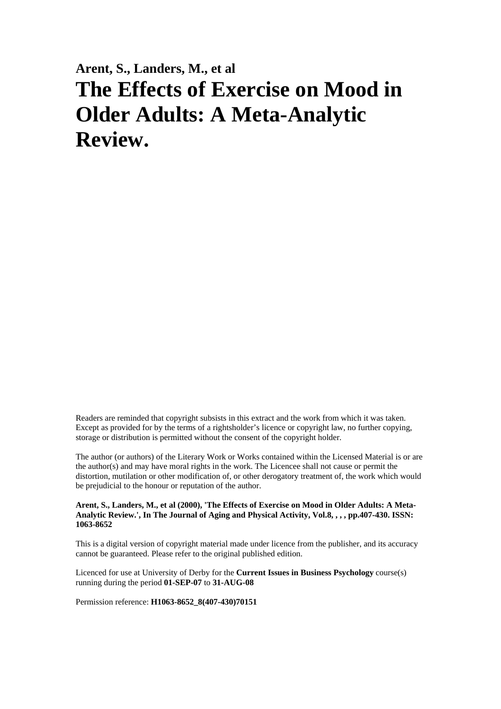# **Arent, S., Landers, M., et al The Effects of Exercise on Mood in Older Adults: A Meta-Analytic Review.**

Readers are reminded that copyright subsists in this extract and the work from which it was taken. Except as provided for by the terms of a rightsholder's licence or copyright law, no further copying, storage or distribution is permitted without the consent of the copyright holder.

The author (or authors) of the Literary Work or Works contained within the Licensed Material is or are the author(s) and may have moral rights in the work. The Licencee shall not cause or permit the distortion, mutilation or other modification of, or other derogatory treatment of, the work which would be prejudicial to the honour or reputation of the author.

# **Arent, S., Landers, M., et al (2000), 'The Effects of Exercise on Mood in Older Adults: A Meta-Analytic Review.', In The Journal of Aging and Physical Activity, Vol.8, , , , pp.407-430. ISSN: 1063-8652**

This is a digital version of copyright material made under licence from the publisher, and its accuracy cannot be guaranteed. Please refer to the original published edition.

Licenced for use at University of Derby for the **Current Issues in Business Psychology** course(s) running during the period **01-SEP-07** to **31-AUG-08**

Permission reference: **H1063-8652\_8(407-430)70151**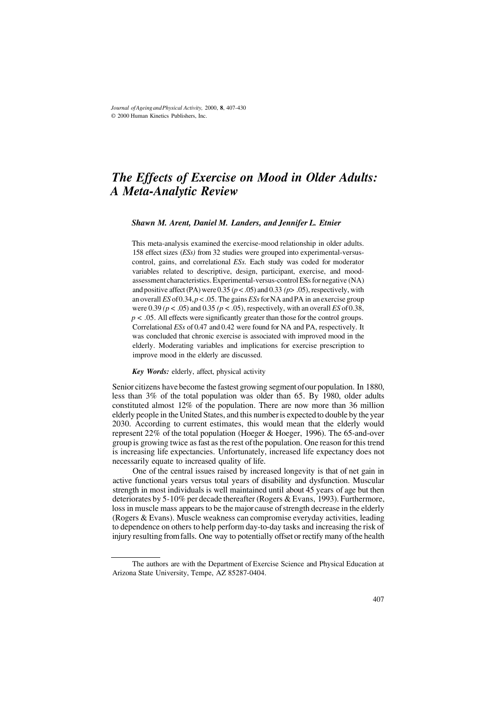*Journal of Ageing and Physical Activity,* 2000, **8**, 407-430 © 2000 Human Kinetics Publishers, Inc.

# *The Effects of Exercise on Mood in Older Adults: A Meta-Analytic Review*

#### *Shawn M. Arent, Daniel M. Landers, and Jennifer L. Etnier*

This meta-analysis examined the exercise-mood relationship in older adults. 158 effect sizes (*ESs)* from 32 studies were grouped into experimental-versuscontrol, gains, and correlational *ESs.* Each study was coded for moderator variables related to descriptive, design, participant, exercise, and moodassessment characteristics. Experimental-versus-control ESs for negative (NA) and positive affect (PA) were  $0.35 (p < .05)$  and  $0.33 (p > .05)$ , respectively, with an overall *ES* of 0.34, *p* < .05. The gains *ESs* for NA and PA in an exercise group were 0.39 *(p <* .05) and 0.35 *(p <* .05), respectively, with an overall *ES* of 0.38, *p <* .05. All effects were significantly greater than those for the control groups. Correlational *ESs* of 0.47 and 0.42 were found for NA and PA, respectively. It was concluded that chronic exercise is associated with improved mood in the elderly. Moderating variables and implications for exercise prescription to improve mood in the elderly are discussed.

*Key Words:* elderly, affect, physical activity

Senior citizens have become the fastest growing segment of our population. In 1880, less than 3% of the total population was older than 65. By 1980, older adults constituted almost 12% of the population. There are now more than 36 million elderly people in the United States, and this number is expected to double by the year 2030. According to current estimates, this would mean that the elderly would represent 22% of the total population (Hoeger & Hoeger, 1996). The 65-and-over group is growing twice as fast as the rest of the population. One reason for this trend is increasing life expectancies. Unfortunately, increased life expectancy does not necessarily equate to increased quality of life.

One of the central issues raised by increased longevity is that of net gain in active functional years versus total years of disability and dysfunction. Muscular strength in most individuals is well maintained until about 45 years of age but then deteriorates by 5-10% per decade thereafter (Rogers & Evans, 1993). Furthermore, loss in muscle mass appears to be the major cause of strength decrease in the elderly (Rogers & Evans). Muscle weakness can compromise everyday activities, leading to dependence on others to help perform day-to-day tasks and increasing the risk of injury resulting from falls. One way to potentially offset or rectify many of the health

The authors are with the Department of Exercise Science and Physical Education at Arizona State University, Tempe, AZ 85287-0404.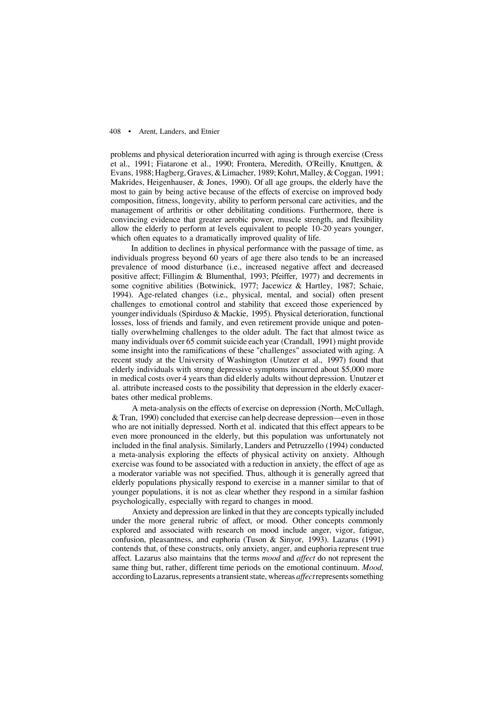problems and physical deterioration incurred with aging is through exercise (Cress et al., 1991; Fiatarone et al., 1990; Frontera, Meredith, O'Reilly, Knuttgen, & Evans, 1988; Hagberg, Graves, & Limacher, 1989; Kohrt, Malley, & Coggan, 1991; Makrides, Heigenhauser, & Jones, 1990). Of all age groups, the elderly have the most to gain by being active because of the effects of exercise on improved body composition, fitness, longevity, ability to perform personal care activities, and the management of arthritis or other debilitating conditions. Furthermore, there is convincing evidence that greater aerobic power, muscle strength, and flexibility allow the elderly to perform at levels equivalent to people 10-20 years younger, which often equates to a dramatically improved quality of life.

In addition to declines in physical performance with the passage of time, as individuals progress beyond 60 years of age there also tends to be an increased prevalence of mood disturbance (i.e., increased negative affect and decreased positive affect; Fillingim & Blumenthal, 1993; Pfeiffer, 1977) and decrements in some cognitive abilities (Botwinick, 1977; Jacewicz & Hartley, 1987; Schaie, 1994). Age-related changes (i.e., physical, mental, and social) often present challenges to emotional control and stability that exceed those experienced by younger individuals (Spirduso & Mackie, 1995). Physical deterioration, functional losses, loss of friends and family, and even retirement provide unique and potentially overwhelming challenges to the older adult. The fact that almost twice as many individuals over 65 commit suicide each year (Crandall, 1991) might provide some insight into the ramifications of these "challenges" associated with aging. A recent study at the University of Washington (Unutzer et al., 1997) found that elderly individuals with strong depressive symptoms incurred about \$5,000 more in medical costs over 4 years than did elderly adults without depression. Unutzer et al. attribute increased costs to the possibility that depression in the elderly exacerbates other medical problems.

A meta-analysis on the effects of exercise on depression (North, McCullagh, & Tran, 1990) concluded that exercise can help decrease depression—even in those who are not initially depressed. North et al. indicated that this effect appears to be even more pronounced in the elderly, but this population was unfortunately not included in the final analysis. Similarly, Landers and Petruzzello (1994) conducted a meta-analysis exploring the effects of physical activity on anxiety. Although exercise was found to be associated with a reduction in anxiety, the effect of age as a moderator variable was not specified. Thus, although it is generally agreed that elderly populations physically respond to exercise in a manner similar to that of younger populations, it is not as clear whether they respond in a similar fashion psychologically, especially with regard to changes in mood.

Anxiety and depression are linked in that they are concepts typically included under the more general rubric of affect, or mood. Other concepts commonly explored and associated with research on mood include anger, vigor, fatigue, confusion, pleasantness, and euphoria (Tuson & Sinyor, 1993). Lazarus (1991) contends that, of these constructs, only anxiety, anger, and euphoria represent true affect. Lazarus also maintains that the terms *mood* and *affect* do not represent the same thing but, rather, different time periods on the emotional continuum. *Mood,* according to Lazarus, represents a transient state, whereas *affect* represents something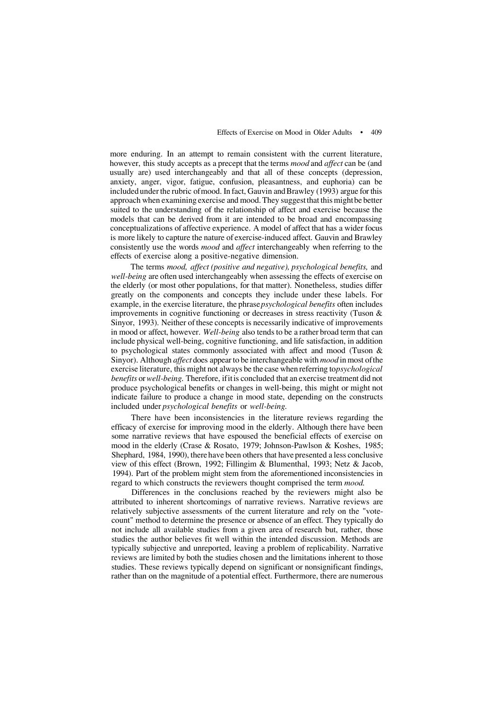more enduring. In an attempt to remain consistent with the current literature, however, this study accepts as a precept that the terms *mood* and *affect* can be (and usually are) used interchangeably and that all of these concepts (depression, anxiety, anger, vigor, fatigue, confusion, pleasantness, and euphoria) can be included under the rubric of mood. In fact, Gauvin and Brawley (1993) argue for this approach when examining exercise and mood. They suggest that this might be better suited to the understanding of the relationship of affect and exercise because the models that can be derived from it are intended to be broad and encompassing conceptualizations of affective experience. A model of affect that has a wider focus is more likely to capture the nature of exercise-induced affect. Gauvin and Brawley consistently use the words *mood* and *affect* interchangeably when referring to the effects of exercise along a positive-negative dimension.

The terms *mood, affect (positive and negative), psychological benefits,* and *well-being* are often used interchangeably when assessing the effects of exercise on the elderly (or most other populations, for that matter). Nonetheless, studies differ greatly on the components and concepts they include under these labels. For example, in the exercise literature, the phrase *psychological benefits* often includes improvements in cognitive functioning or decreases in stress reactivity (Tuson & Sinyor, 1993). Neither of these concepts is necessarily indicative of improvements in mood or affect, however. *Well-being* also tends to be a rather broad term that can include physical well-being, cognitive functioning, and life satisfaction, in addition to psychological states commonly associated with affect and mood (Tuson & Sinyor). Although *affect* does appear to be interchangeable with *mood* in most of the exercise literature, this might not always be the case when referring to*psychological benefits* or *well-being.* Therefore, if it is concluded that an exercise treatment did not produce psychological benefits or changes in well-being, this might or might not indicate failure to produce a change in mood state, depending on the constructs included under *psychological benefits* or *well-being.*

There have been inconsistencies in the literature reviews regarding the efficacy of exercise for improving mood in the elderly. Although there have been some narrative reviews that have espoused the beneficial effects of exercise on mood in the elderly (Crase & Rosato, 1979; Johnson-Pawlson & Koshes, 1985; Shephard, 1984, 1990), there have been others that have presented a less conclusive view of this effect (Brown, 1992; Fillingim & Blumenthal, 1993; Netz & Jacob, 1994). Part of the problem might stem from the aforementioned inconsistencies in regard to which constructs the reviewers thought comprised the term *mood.*

Differences in the conclusions reached by the reviewers might also be attributed to inherent shortcomings of narrative reviews. Narrative reviews are relatively subjective assessments of the current literature and rely on the "votecount" method to determine the presence or absence of an effect. They typically do not include all available studies from a given area of research but, rather, those studies the author believes fit well within the intended discussion. Methods are typically subjective and unreported, leaving a problem of replicability. Narrative reviews are limited by both the studies chosen and the limitations inherent to those studies. These reviews typically depend on significant or nonsignificant findings, rather than on the magnitude of a potential effect. Furthermore, there are numerous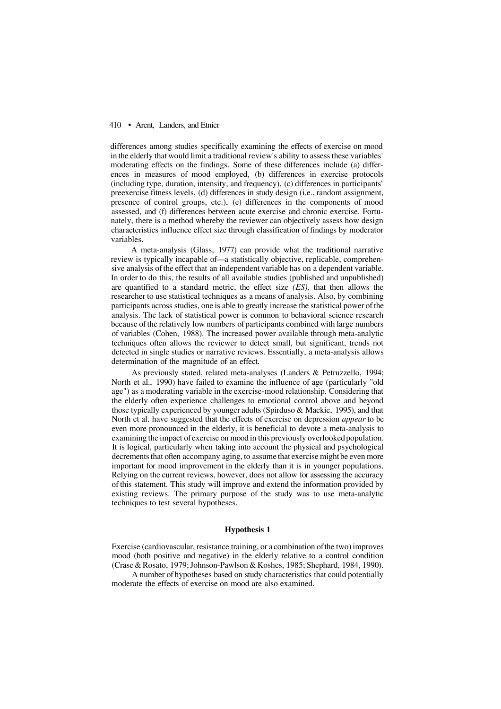differences among studies specifically examining the effects of exercise on mood in the elderly that would limit a traditional review's ability to assess these variables' moderating effects on the findings. Some of these differences include (a) differences in measures of mood employed, (b) differences in exercise protocols (including type, duration, intensity, and frequency), (c) differences in participants' preexercise fitness levels, (d) differences in study design (i.e., random assignment, presence of control groups, etc.), (e) differences in the components of mood assessed, and (f) differences between acute exercise and chronic exercise. Fortunately, there is a method whereby the reviewer can objectively assess how design characteristics influence effect size through classification of findings by moderator variables.

A meta-analysis (Glass, 1977) can provide what the traditional narrative review is typically incapable of—a statistically objective, replicable, comprehensive analysis of the effect that an independent variable has on a dependent variable. In order to do this, the results of all available studies (published and unpublished) are quantified to a standard metric, the effect size *(ES),* that then allows the researcher to use statistical techniques as a means of analysis. Also, by combining participants across studies, one is able to greatly increase the statistical power of the analysis. The lack of statistical power is common to behavioral science research because of the relatively low numbers of participants combined with large numbers of variables (Cohen, 1988). The increased power available through meta-analytic techniques often allows the reviewer to detect small, but significant, trends not detected in single studies or narrative reviews. Essentially, a meta-analysis allows determination of the magnitude of an effect.

As previously stated, related meta-analyses (Landers & Petruzzello, 1994; North et al., 1990) have failed to examine the influence of age (particularly "old age") as a moderating variable in the exercise-mood relationship. Considering that the elderly often experience challenges to emotional control above and beyond those typically experienced by younger adults (Spirduso & Mackie, 1995), and that North et al. have suggested that the effects of exercise on depression *appear* to be even more pronounced in the elderly, it is beneficial to devote a meta-analysis to examining the impact of exercise on mood in this previously overlooked population. It is logical, particularly when taking into account the physical and psychological decrements that often accompany aging, to assume that exercise might be even more important for mood improvement in the elderly than it is in younger populations. Relying on the current reviews, however, does not allow for assessing the accuracy of this statement. This study will improve and extend the information provided by existing reviews. The primary purpose of the study was to use meta-analytic techniques to test several hypotheses.

# **Hypothesis 1**

Exercise (cardiovascular, resistance training, or a combination of the two) improves mood (both positive and negative) in the elderly relative to a control condition (Crase & Rosato, 1979; Johnson-Pawlson & Koshes, 1985; Shephard, 1984, 1990).

A number of hypotheses based on study characteristics that could potentially moderate the effects of exercise on mood are also examined.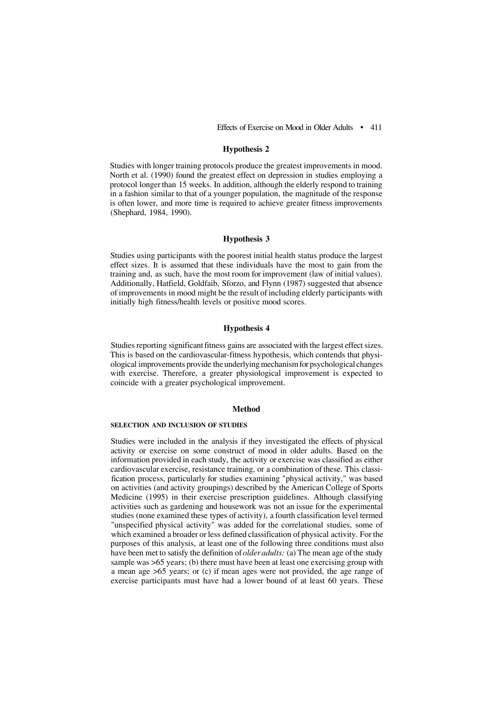#### **Hypothesis 2**

Studies with longer training protocols produce the greatest improvements in mood. North et al. (1990) found the greatest effect on depression in studies employing a protocol longer than 15 weeks. In addition, although the elderly respond to training in a fashion similar to that of a younger population, the magnitude of the response is often lower, and more time is required to achieve greater fitness improvements (Shephard, 1984, 1990).

# **Hypothesis 3**

Studies using participants with the poorest initial health status produce the largest effect sizes. It is assumed that these individuals have the most to gain from the training and, as such, have the most room for improvement (law of initial values). Additionally, Hatfield, Goldfaib, Sforzo, and Flynn (1987) suggested that absence of improvements in mood might be the result of including elderly participants with initially high fitness/health levels or positive mood scores.

# **Hypothesis 4**

Studies reporting significant fitness gains are associated with the largest effect sizes. This is based on the cardiovascular-fitness hypothesis, which contends that physiological improvements provide the underlying mechanism for psychological changes with exercise. Therefore, a greater physiological improvement is expected to coincide with a greater psychological improvement.

# **Method**

#### **SELECTION AND INCLUSION OF STUDIES**

Studies were included in the analysis if they investigated the effects of physical activity or exercise on some construct of mood in older adults. Based on the information provided in each study, the activity or exercise was classified as either cardiovascular exercise, resistance training, or a combination of these. This classification process, particularly for studies examining "physical activity," was based on activities (and activity groupings) described by the American College of Sports Medicine (1995) in their exercise prescription guidelines. Although classifying activities such as gardening and housework was not an issue for the experimental studies (none examined these types of activity), a fourth classification level termed "unspecified physical activity" was added for the correlational studies, some of which examined a broader or less defined classification of physical activity. For the purposes of this analysis, at least one of the following three conditions must also have been met to satisfy the definition of *older adults:* (a) The mean age of the study sample was >65 years; (b) there must have been at least one exercising group with a mean age >65 years; or (c) if mean ages were not provided, the age range of exercise participants must have had a lower bound of at least 60 years. These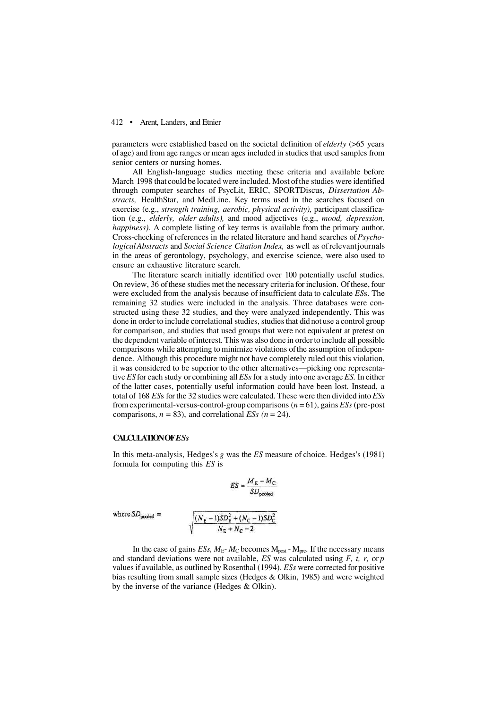parameters were established based on the societal definition of *elderly* (>65 years of age) and from age ranges or mean ages included in studies that used samples from senior centers or nursing homes.

All English-language studies meeting these criteria and available before March 1998 that could be located were included. Most of the studies were identified through computer searches of PsycLit, ERIC, SPORTDiscus, *Dissertation Abstracts,* HealthStar, and MedLine. Key terms used in the searches focused on exercise (e.g., *strength training, aerobic, physical activity),* participant classification (e.g., *elderly, older adults),* and mood adjectives (e.g., *mood, depression, happiness).* A complete listing of key terms is available from the primary author. Cross-checking of references in the related literature and hand searches of *Psychological Abstracts* and *Social Science Citation Index,* as well as of relevant journals in the areas of gerontology, psychology, and exercise science, were also used to ensure an exhaustive literature search.

The literature search initially identified over 100 potentially useful studies. On review, 36 of these studies met the necessary criteria for inclusion. Of these, four were excluded from the analysis because of insufficient data to calculate *ES*s. The remaining 32 studies were included in the analysis. Three databases were constructed using these 32 studies, and they were analyzed independently. This was done in order to include correlational studies, studies that did not use a control group for comparison, and studies that used groups that were not equivalent at pretest on the dependent variable of interest. This was also done in order to include all possible comparisons while attempting to minimize violations of the assumption of independence. Although this procedure might not have completely ruled out this violation, it was considered to be superior to the other alternatives—picking one representative *ES* for each study or combining all *ESs* for a study into one average *ES.* In either of the latter cases, potentially useful information could have been lost. Instead, a total of 168 *ES*s for the 32 studies were calculated. These were then divided into *ESs* from experimental-versus-control-group comparisons (*n* = 61), gains *ESs* (pre-post comparisons,  $n = 83$ ), and correlational *ESs* ( $n = 24$ ).

# **CALCULATION OF** *ESs*

In this meta-analysis, Hedges's *g* was the *ES* measure of choice. Hedges's (1981) formula for computing this *ES* is

$$
ES = \frac{M_E - M_C}{SD_{pooled}}
$$

 $\sqrt{\frac{(N_{\rm E}-1)SD_{\rm E}^2+(N_{\rm C}-1)SD_{\rm C}^2}{N_{\rm E}+N_{\rm C}-2}}$ 

where  $SD_{pooled}$  =

In the case of gains *ESs*,  $M_E$ - $M_C$  becomes  $M_{post}$ - $M_{pre}$ . If the necessary means and standard deviations were not available, *ES* was calculated using *F*, *t*, *r*, or *p* values if available, as outlined by Rosenthal (1994). *ESs* were corrected for positive bias resulting from small sample sizes (Hedges & Olkin, 1985) and were weighted by the inverse of the variance (Hedges & Olkin).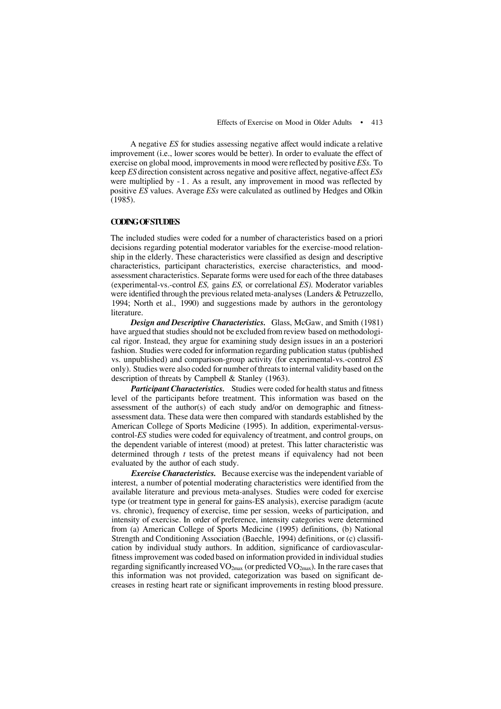A negative *ES* for studies assessing negative affect would indicate a relative improvement (i.e., lower scores would be better). In order to evaluate the effect of exercise on global mood, improvements in mood were reflected by positive *ESs.* To keep *ES* direction consistent across negative and positive affect, negative-affect *ESs* were multiplied by - 1 . As a result, any improvement in mood was reflected by positive *ES* values. Average *ESs* were calculated as outlined by Hedges and Olkin (1985).

#### **CODING OF STUDIES**

The included studies were coded for a number of characteristics based on a priori decisions regarding potential moderator variables for the exercise-mood relationship in the elderly. These characteristics were classified as design and descriptive characteristics, participant characteristics, exercise characteristics, and moodassessment characteristics. Separate forms were used for each of the three databases (experimental-vs.-control *ES,* gains *ES,* or correlational *ES).* Moderator variables were identified through the previous related meta-analyses (Landers & Petruzzello, 1994; North et al., 1990) and suggestions made by authors in the gerontology literature.

*Design and Descriptive Characteristics.* Glass, McGaw, and Smith (1981) have argued that studies should not be excluded from review based on methodological rigor. Instead, they argue for examining study design issues in an a posteriori fashion. Studies were coded for information regarding publication status (published vs. unpublished) and comparison-group activity (for experimental-vs.-control *ES* only). Studies were also coded for number of threats to internal validity based on the description of threats by Campbell & Stanley (1963).

*Participant Characteristics.* Studies were coded for health status and fitness level of the participants before treatment. This information was based on the assessment of the author(s) of each study and/or on demographic and fitnessassessment data. These data were then compared with standards established by the American College of Sports Medicine (1995). In addition, experimental-versuscontrol-*ES* studies were coded for equivalency of treatment, and control groups, on the dependent variable of interest (mood) at pretest. This latter characteristic was determined through *t* tests of the pretest means if equivalency had not been evaluated by the author of each study.

*Exercise Characteristics.* Because exercise was the independent variable of interest, a number of potential moderating characteristics were identified from the available literature and previous meta-analyses. Studies were coded for exercise type (or treatment type in general for gains-ES analysis), exercise paradigm (acute vs. chronic), frequency of exercise, time per session, weeks of participation, and intensity of exercise. In order of preference, intensity categories were determined from (a) American College of Sports Medicine (1995) definitions, (b) National Strength and Conditioning Association (Baechle, 1994) definitions, or (c) classification by individual study authors. In addition, significance of cardiovascularfitness improvement was coded based on information provided in individual studies regarding significantly increased  $VO_{2max}$  (or predicted  $VO_{2max}$ ). In the rare cases that this information was not provided, categorization was based on significant decreases in resting heart rate or significant improvements in resting blood pressure.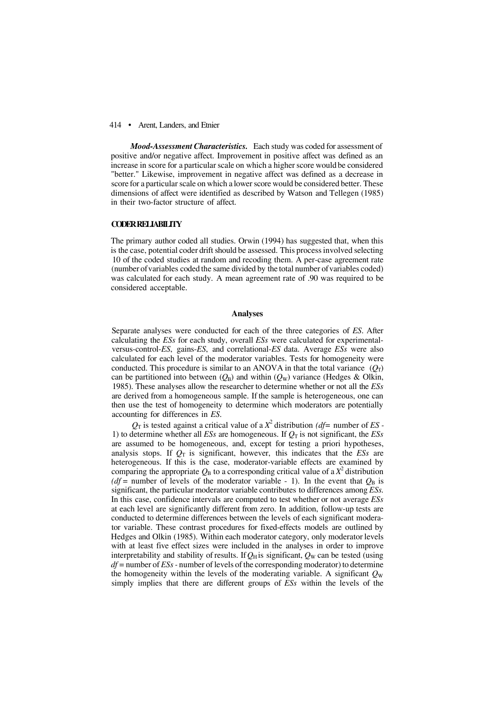*Mood-Assessment Characteristics.* Each study was coded for assessment of positive and/or negative affect. Improvement in positive affect was defined as an increase in score for a particular scale on which a higher score would be considered "better." Likewise, improvement in negative affect was defined as a decrease in score for a particular scale on which a lower score would be considered better. These dimensions of affect were identified as described by Watson and Tellegen (1985) in their two-factor structure of affect.

#### **CODER RELIABILITY**

The primary author coded all studies. Orwin (1994) has suggested that, when this is the case, potential coder drift should be assessed. This process involved selecting 10 of the coded studies at random and recoding them. A per-case agreement rate (number of variables coded the same divided by the total number of variables coded) was calculated for each study. A mean agreement rate of .90 was required to be considered acceptable.

#### **Analyses**

Separate analyses were conducted for each of the three categories of *ES*. After calculating the *ESs* for each study, overall *ESs* were calculated for experimentalversus-control-*ES*, gains-*ES*, and correlational-*ES* data. Average *ESs* were also calculated for each level of the moderator variables. Tests for homogeneity were conducted. This procedure is similar to an ANOVA in that the total variance  $(Q_T)$ can be partitioned into between  $(Q_B)$  and within  $(Q_W)$  variance (Hedges & Olkin, 1985). These analyses allow the researcher to determine whether or not all the *ESs* are derived from a homogeneous sample. If the sample is heterogeneous, one can then use the test of homogeneity to determine which moderators are potentially accounting for differences in *ES*.

 $Q_T$  is tested against a critical value of a  $X^2$  distribution ( $df=$  number of ES -1) to determine whether all *ESs* are homogeneous. If  $O_T$  is not significant, the *ESs* are assumed to be homogeneous, and, except for testing a priori hypotheses, analysis stops. If  $Q_T$  is significant, however, this indicates that the *ESs* are heterogeneous. If this is the case, moderator-variable effects are examined by comparing the appropriate  $Q_B$  to a corresponding critical value of a  $X^2$  distribution ( $df$  = number of levels of the moderator variable - 1). In the event that  $Q_B$  is significant, the particular moderator variable contributes to differences among *ESs.* In this case, confidence intervals are computed to test whether or not average *ESs* at each level are significantly different from zero. In addition, follow-up tests are conducted to determine differences between the levels of each significant moderator variable. These contrast procedures for fixed-effects models are outlined by Hedges and Olkin (1985). Within each moderator category, only moderator levels with at least five effect sizes were included in the analyses in order to improve interpretability and stability of results. If  $Q_H$  is significant,  $Q_W$  can be tested (using *df =* number of *ESs -* number of levels of the corresponding moderator) to determine the homogeneity within the levels of the moderating variable. A significant  $Q_W$ simply implies that there are different groups of *ESs* within the levels of the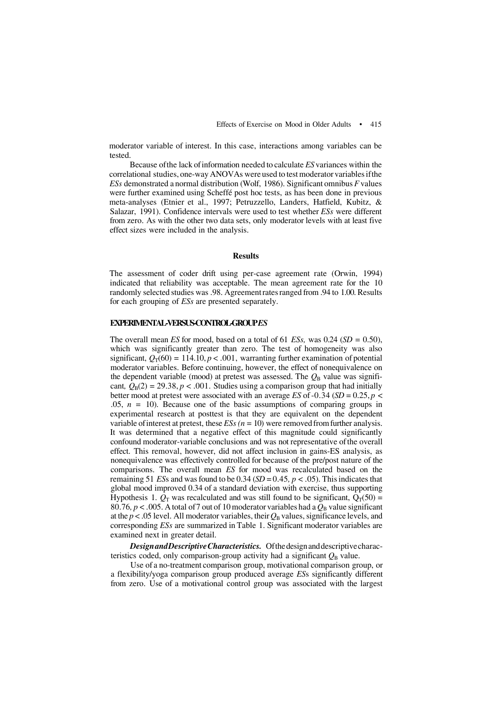moderator variable of interest. In this case, interactions among variables can be tested.

Because of the lack of information needed to calculate *ES* variances within the correlational studies, one-way ANOVAs were used to test moderator variables if the *ESs* demonstrated a normal distribution (Wolf, 1986). Significant omnibus *F* values were further examined using Scheffé post hoc tests, as has been done in previous meta-analyses (Etnier et al., 1997; Petruzzello, Landers, Hatfield, Kubitz, & Salazar, 1991). Confidence intervals were used to test whether *ESs* were different from zero. As with the other two data sets, only moderator levels with at least five effect sizes were included in the analysis.

# **Results**

The assessment of coder drift using per-case agreement rate (Orwin, 1994) indicated that reliability was acceptable. The mean agreement rate for the 10 randomly selected studies was .98. Agreement rates ranged from .94 to 1.00. Results for each grouping of *ESs* are presented separately.

# **EXPERIMENTAL-VERSUS-CONTROL-GROUP** *ES*

The overall mean *ES* for mood, based on a total of 61 *ESs,* was 0.24 (*SD =* 0.50), which was significantly greater than zero. The test of homogeneity was also significant,  $Q_T(60) = 114.10, p < .001$ , warranting further examination of potential moderator variables. Before continuing, however, the effect of nonequivalence on the dependent variable (mood) at pretest was assessed. The  $Q_B$  value was significant,  $Q_B(2) = 29.38, p < .001$ . Studies using a comparison group that had initially better mood at pretest were associated with an average *ES* of -0.34 (*SD* = 0.25, *p* < .05,  $n = 10$ ). Because one of the basic assumptions of comparing groups in experimental research at posttest is that they are equivalent on the dependent variable of interest at pretest, these  $ESs (n = 10)$  were removed from further analysis. It was determined that a negative effect of this magnitude could significantly confound moderator-variable conclusions and was not representative of the overall effect. This removal, however, did not affect inclusion in gains-ES analysis, as nonequivalence was effectively controlled for because of the pre/post nature of the comparisons. The overall mean *ES* for mood was recalculated based on the remaining 51 ESs and was found to be  $0.34$  ( $SD = 0.45$ ,  $p < .05$ ). This indicates that global mood improved 0.34 of a standard deviation with exercise, thus supporting Hypothesis 1.  $Q_T$  was recalculated and was still found to be significant,  $Q_T(50)$  = 80.76,  $p < .005$ . A total of 7 out of 10 moderator variables had a  $Q_B$  value significant at the  $p < .05$  level. All moderator variables, their  $Q_B$  values, significance levels, and corresponding *ESs* are summarized in Table 1. Significant moderator variables are examined next in greater detail.

*Design and Descriptive Characteristics.* Of the design and descriptive characteristics coded, only comparison-group activity had a significant  $Q_B$  value.

Use of a no-treatment comparison group, motivational comparison group, or a flexibility/yoga comparison group produced average *ES*s significantly different from zero. Use of a motivational control group was associated with the largest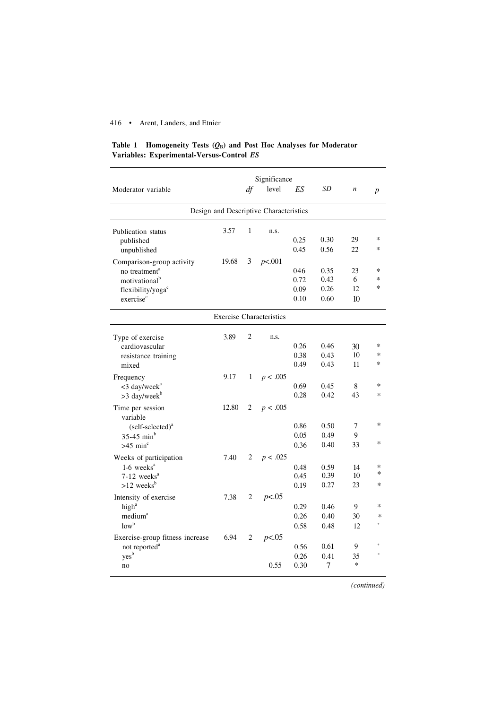|                                           | Table 1 Homogeneity Tests $(O_R)$ and Post Hoc Analyses for Moderator |  |  |  |  |  |  |  |
|-------------------------------------------|-----------------------------------------------------------------------|--|--|--|--|--|--|--|
| Variables: Experimental-Versus-Control ES |                                                                       |  |  |  |  |  |  |  |
|                                           |                                                                       |  |  |  |  |  |  |  |

|                                        | Significance |    |                                 |      |      |                  |                  |  |  |
|----------------------------------------|--------------|----|---------------------------------|------|------|------------------|------------------|--|--|
| Moderator variable                     |              | df | level                           | ES   | SD   | $\boldsymbol{n}$ | $\boldsymbol{p}$ |  |  |
| Design and Descriptive Characteristics |              |    |                                 |      |      |                  |                  |  |  |
| <b>Publication</b> status              | 3.57         | 1  | n.s.                            |      |      |                  |                  |  |  |
| published                              |              |    |                                 | 0.25 | 0.30 | 29               | *                |  |  |
| unpublished                            |              |    |                                 | 0.45 | 0.56 | 22               | *                |  |  |
| Comparison-group activity              | 19.68        | 3  | p<.001                          |      |      |                  |                  |  |  |
| no treatment <sup>a</sup>              |              |    |                                 | 046  | 0.35 | 23               | $\ast$           |  |  |
| motivational <sup>b</sup>              |              |    |                                 | 0.72 | 0.43 | 6                | *                |  |  |
| flexibility/yoga <sup>c</sup>          |              |    |                                 | 0.09 | 0.26 | 12               | *                |  |  |
| exercise <sup>c</sup>                  |              |    |                                 | 0.10 | 0.60 | 10               |                  |  |  |
|                                        |              |    | <b>Exercise Characteristics</b> |      |      |                  |                  |  |  |
| Type of exercise                       | 3.89         | 2  | n.s.                            |      |      |                  |                  |  |  |
| cardiovascular                         |              |    |                                 | 0.26 | 0.46 | 30               | ∗                |  |  |
| resistance training                    |              |    |                                 | 0.38 | 0.43 | 10               | *                |  |  |
| mixed                                  |              |    |                                 | 0.49 | 0.43 | 11               | *                |  |  |
| Frequency                              | 9.17         | 1  | p < .005                        |      |      |                  |                  |  |  |
| <3 day/week <sup>a</sup>               |              |    |                                 | 0.69 | 0.45 | 8                | *                |  |  |
| $>3$ day/week <sup>b</sup>             |              |    |                                 | 0.28 | 0.42 | 43               | $\ast$           |  |  |
| Time per session<br>variable           | 12.80        | 2  | p < .005                        |      |      |                  |                  |  |  |
| $(self-selected)a$                     |              |    |                                 | 0.86 | 0.50 | 7                | $\ast$           |  |  |
| $35-45$ min <sup>b</sup>               |              |    |                                 | 0.05 | 0.49 | 9                |                  |  |  |
| $>45$ min <sup>c</sup>                 |              |    |                                 | 0.36 | 0.40 | 33               | *                |  |  |
| Weeks of participation                 | 7.40         | 2  | p < .025                        |      |      |                  |                  |  |  |
| $1-6$ weeks <sup>a</sup>               |              |    |                                 | 0.48 | 0.59 | 14               | *                |  |  |
| $7-12$ weeks <sup>a</sup>              |              |    |                                 | 0.45 | 0.39 | 10               | *                |  |  |
| $>12$ weeks <sup>b</sup>               |              |    |                                 | 0.19 | 0.27 | 23               | *                |  |  |
| Intensity of exercise                  | 7.38         | 2  | p<.05                           |      |      |                  |                  |  |  |
| high <sup>a</sup>                      |              |    |                                 | 0.29 | 0.46 | 9                | $\ast$           |  |  |
| medium <sup>a</sup>                    |              |    |                                 | 0.26 | 0.40 | 30               | *                |  |  |
| $low^b$                                |              |    |                                 | 0.58 | 0.48 | 12               |                  |  |  |
| Exercise-group fitness increase        | 6.94         | 2  | p<.05                           |      |      |                  |                  |  |  |
| not reported <sup>a</sup>              |              |    |                                 | 0.56 | 0.61 | 9                |                  |  |  |
| yes <sup>b</sup>                       |              |    |                                 | 0.26 | 0.41 | 35               |                  |  |  |
| no                                     |              |    | 0.55                            | 0.30 | 7    | $\ast$           |                  |  |  |

*(continued)*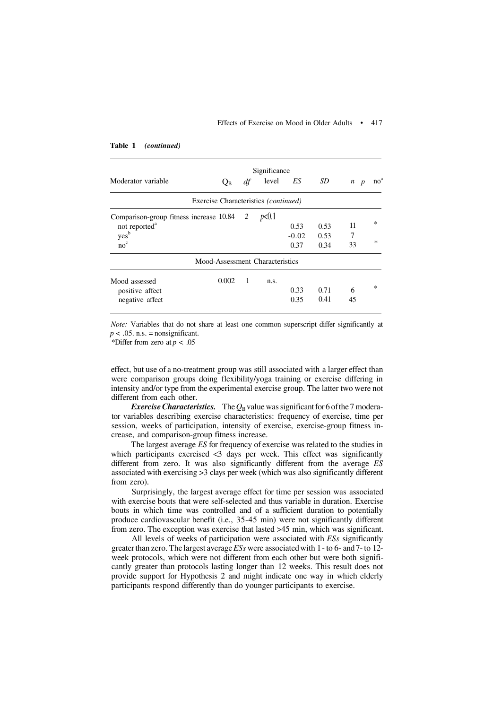#### Effects of Exercise on Mood in Older Adults • 417

|                                           | Significance                         |             |       |         |      |                       |                 |
|-------------------------------------------|--------------------------------------|-------------|-------|---------|------|-----------------------|-----------------|
| Moderator variable                        | $Q_{\rm B}$                          | level<br>df |       | ES      | SD   | n<br>$\boldsymbol{p}$ | no <sup>a</sup> |
|                                           | Exercise Characteristics (continued) |             |       |         |      |                       |                 |
| Comparison-group fitness increase 10.84 2 |                                      |             | p<0.1 |         |      |                       |                 |
| not reported <sup>a</sup>                 |                                      |             |       | 0.53    | 0.53 | 11                    | $\ast$          |
| yes <sup>b</sup>                          |                                      |             |       | $-0.02$ | 0.53 | 7                     |                 |
| no <sup>c</sup>                           |                                      |             |       | 0.37    | 0.34 | 33                    | *               |
|                                           | Mood-Assessment Characteristics      |             |       |         |      |                       |                 |
| Mood assessed                             | 0.002                                | 1           | n.s.  |         |      |                       |                 |
| positive affect                           |                                      |             |       | 0.33    | 0.71 | 6                     | $\ast$          |
| negative affect                           |                                      |             |       | 0.35    | 0.41 | 45                    |                 |

#### **Table 1** *(continued)*

*Note:* Variables that do not share at least one common superscript differ significantly at  $p < .05$ . n.s. = nonsignificant.

\*Differ from zero at *p <* .05

effect, but use of a no-treatment group was still associated with a larger effect than were comparison groups doing flexibility/yoga training or exercise differing in intensity and/or type from the experimental exercise group. The latter two were not different from each other.

*Exercise Characteristics.* The  $Q_B$  value was significant for 6 of the 7 moderator variables describing exercise characteristics: frequency of exercise, time per session, weeks of participation, intensity of exercise, exercise-group fitness increase, and comparison-group fitness increase.

The largest average *ES* for frequency of exercise was related to the studies in which participants exercised <3 days per week. This effect was significantly different from zero. It was also significantly different from the average *ES* associated with exercising >3 clays per week (which was also significantly different from zero).

Surprisingly, the largest average effect for time per session was associated with exercise bouts that were self-selected and thus variable in duration. Exercise bouts in which time was controlled and of a sufficient duration to potentially produce cardiovascular benefit (i.e., 35-45 min) were not significantly different from zero. The exception was exercise that lasted >45 min, which was significant.

All levels of weeks of participation were associated with *ESs* significantly greater than zero. The largest average *ESs* were associated with 1 - to 6- and 7- to 12 week protocols, which were not different from each other but were both significantly greater than protocols lasting longer than 12 weeks. This result does not provide support for Hypothesis 2 and might indicate one way in which elderly participants respond differently than do younger participants to exercise.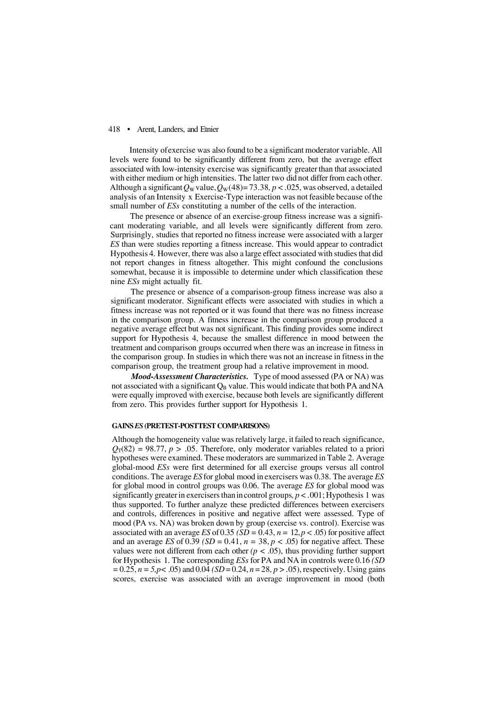Intensity of exercise was also found to be a significant moderator variable. All levels were found to be significantly different from zero, but the average effect associated with low-intensity exercise was significantly greater than that associated with either medium or high intensities. The latter two did not differ from each other. Although a significant  $Q_W$  value,  $Q_W(48) = 73.38$ ,  $p < .025$ , was observed, a detailed analysis of an Intensity x Exercise-Type interaction was not feasible because of the small number of *ESs* constituting a number of the cells of the interaction.

The presence or absence of an exercise-group fitness increase was a significant moderating variable, and all levels were significantly different from zero. Surprisingly, studies that reported no fitness increase were associated with a larger *ES* than were studies reporting a fitness increase. This would appear to contradict Hypothesis 4. However, there was also a large effect associated with studies that did not report changes in fitness altogether. This might confound the conclusions somewhat, because it is impossible to determine under which classification these nine *ESs* might actually fit.

The presence or absence of a comparison-group fitness increase was also a significant moderator. Significant effects were associated with studies in which a fitness increase was not reported or it was found that there was no fitness increase in the comparison group. A fitness increase in the comparison group produced a negative average effect but was not significant. This finding provides some indirect support for Hypothesis 4, because the smallest difference in mood between the treatment and comparison groups occurred when there was an increase in fitness in the comparison group. In studies in which there was not an increase in fitness in the comparison group, the treatment group had a relative improvement in mood.

*Mood-Assessment Characteristics.* Type of mood assessed (PA or NA) was not associated with a significant Q<sub>B</sub> value. This would indicate that both PA and NA were equally improved with exercise, because both levels are significantly different from zero. This provides further support for Hypothesis 1.

#### **GAINS** *ES* **(PRETEST-POSTTEST COMPARISONS)**

Although the homogeneity value was relatively large, it failed to reach significance,  $Q_T(82) = 98.77, p > .05$ . Therefore, only moderator variables related to a priori hypotheses were examined. These moderators are summarized in Table 2. Average global-mood *ESs* were first determined for all exercise groups versus all control conditions. The average *ES* for global mood in exercisers was 0.38. The average *ES* for global mood in control groups was 0.06. The average *ES* for global mood was significantly greater in exercisers than in control groups*, p < .*001; Hypothesis 1 was thus supported. To further analyze these predicted differences between exercisers and controls, differences in positive and negative affect were assessed. Type of mood (PA vs. NA) was broken down by group (exercise vs. control). Exercise was associated with an average *ES* of 0.35 ( $\overline{SD}$  = 0.43, *n* = 12, *p* < .05) for positive affect and an average *ES* of  $0.39$  *(SD* =  $0.41$ ,  $n = 38$ ,  $p < .05$ ) for negative affect. These values were not different from each other  $(p < .05)$ , thus providing further support for Hypothesis 1. The corresponding *ESs* for PA and NA in controls were 0.16 *(SD =* 0.25, *n = 5,p<* .05) and 0.04 *(SD* = 0.24, *n* = 28*, p > .*05), respectively. Using gains scores, exercise was associated with an average improvement in mood (both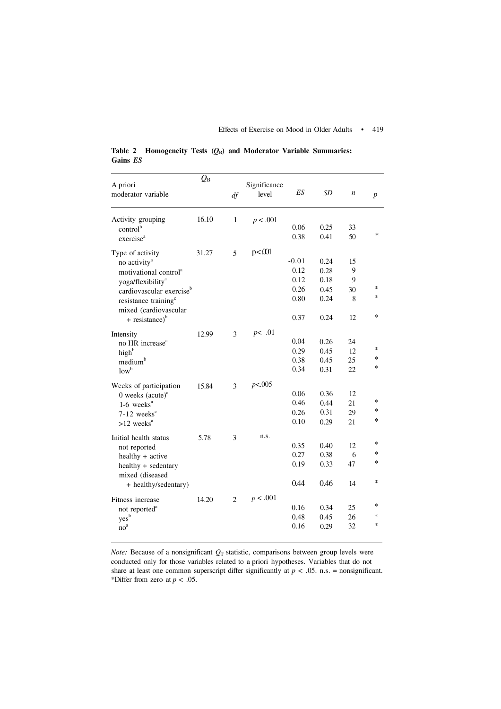| A priori<br>moderator variable       | $Q_{\rm B}$ |                | Significance<br>level | ES      | <b>SD</b> | $\boldsymbol{n}$ | $\boldsymbol{p}$ |
|--------------------------------------|-------------|----------------|-----------------------|---------|-----------|------------------|------------------|
|                                      |             | df             |                       |         |           |                  |                  |
| Activity grouping                    | 16.10       | $\mathbf{1}$   | p < .001              |         |           |                  |                  |
| control <sup>b</sup>                 |             |                |                       | 0.06    | 0.25      | 33               |                  |
| exercise <sup>a</sup>                |             |                |                       | 0.38    | 0.41      | 50               | $\sim$           |
| Type of activity                     | 31.27       | 5              | p<.001                |         |           |                  |                  |
| no activity <sup>a</sup>             |             |                |                       | $-0.01$ | 0.24      | 15               |                  |
| motivational control <sup>a</sup>    |             |                |                       | 0.12    | 0.28      | 9                |                  |
| yoga/flexibility <sup>a</sup>        |             |                |                       | 0.12    | 0.18      | 9                |                  |
| cardiovascular exercise <sup>b</sup> |             |                |                       | 0.26    | 0.45      | 30               | *                |
| resistance training <sup>c</sup>     |             |                |                       | 0.80    | 0.24      | 8                | *                |
| mixed (cardiovascular                |             |                |                       |         |           |                  | $^{\ast}$        |
| $+$ resistance) <sup>b</sup>         |             |                |                       | 0.37    | 0.24      | 12               |                  |
| Intensity                            | 12.99       | 3              | p<.01                 |         |           |                  |                  |
| no HR increase <sup>a</sup>          |             |                |                       | 0.04    | 0.26      | 24               |                  |
| high <sup>b</sup>                    |             |                |                       | 0.29    | 0.45      | 12               | $\ast$           |
| medium <sup>b</sup>                  |             |                |                       | 0.38    | 0.45      | 25               | $\ast$           |
| $low^b$                              |             |                |                       | 0.34    | 0.31      | 22               | $\ast$           |
| Weeks of participation               | 15.84       | 3              | p<.005                |         |           |                  |                  |
| 0 weeks $(a$ cute $)^a$              |             |                |                       | 0.06    | 0.36      | 12               |                  |
| $1-6$ weeks <sup>a</sup>             |             |                |                       | 0.46    | 0.44      | 21               | $\ast$           |
| $7-12$ weeks <sup>c</sup>            |             |                |                       | 0.26    | 0.31      | 29               | $\ast$           |
| $>12$ weeks <sup>a</sup>             |             |                |                       | 0.10    | 0.29      | 21               | $\ast$           |
| Initial health status                | 5.78        | 3              | n.s.                  |         |           |                  |                  |
| not reported                         |             |                |                       | 0.35    | 0.40      | 12               | $\ast$           |
| healthy + active                     |             |                |                       | 0.27    | 0.38      | 6                | $\ast$           |
| healthy + sedentary                  |             |                |                       | 0.19    | 0.33      | 47               | $\ast$           |
| mixed (diseased                      |             |                |                       |         |           |                  |                  |
| + healthy/sedentary)                 |             |                |                       | 0.44    | 0.46      | 14               | $\ast$           |
| Fitness increase                     | 14.20       | $\overline{c}$ | p < .001              |         |           |                  |                  |
| not reported <sup>a</sup>            |             |                |                       | 0.16    | 0.34      | 25               | $\ast$           |
| yes <sup>b</sup>                     |             |                |                       | 0.48    | 0.45      | 26               | $\ast$           |
| no <sup>a</sup>                      |             |                |                       | 0.16    | 0.29      | 32               | $\ast$           |
|                                      |             |                |                       |         |           |                  |                  |

**Table 2 Homogeneity Tests (***Q***B) and Moderator Variable Summaries: Gains** *ES*

*Note:* Because of a nonsignificant  $Q_T$  statistic, comparisons between group levels were conducted only for those variables related to a priori hypotheses. Variables that do not share at least one common superscript differ significantly at *p < .*05. n.s. = nonsignificant. \*Differ from zero at *p* < .05.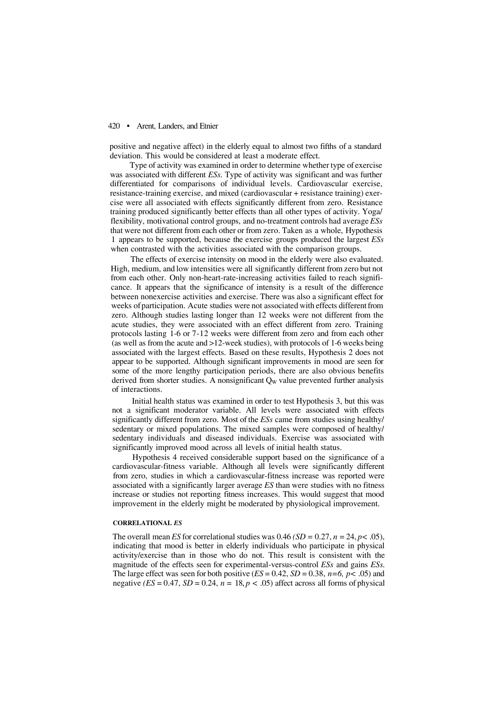positive and negative affect) in the elderly equal to almost two fifths of a standard deviation. This would be considered at least a moderate effect.

Type of activity was examined in order to determine whether type of exercise was associated with different *ESs.* Type of activity was significant and was further differentiated for comparisons of individual levels. Cardiovascular exercise, resistance-training exercise, and mixed (cardiovascular + resistance training) exercise were all associated with effects significantly different from zero. Resistance training produced significantly better effects than all other types of activity. Yoga/ flexibility, motivational control groups, and no-treatment controls had average *ESs* that were not different from each other or from zero. Taken as a whole, Hypothesis 1 appears to be supported, because the exercise groups produced the largest *ESs* when contrasted with the activities associated with the comparison groups.

The effects of exercise intensity on mood in the elderly were also evaluated. High, medium, and low intensities were all significantly different from zero but not from each other. Only non-heart-rate-increasing activities failed to reach significance. It appears that the significance of intensity is a result of the difference between nonexercise activities and exercise. There was also a significant effect for weeks of participation. Acute studies were not associated with effects different from zero. Although studies lasting longer than 12 weeks were not different from the acute studies, they were associated with an effect different from zero. Training protocols lasting 1-6 or 7-12 weeks were different from zero and from each other (as well as from the acute and >12-week studies), with protocols of 1-6 weeks being associated with the largest effects. Based on these results, Hypothesis 2 does not appear to be supported. Although significant improvements in mood are seen for some of the more lengthy participation periods, there are also obvious benefits derived from shorter studies. A nonsignificant  $Q_W$  value prevented further analysis of interactions.

Initial health status was examined in order to test Hypothesis 3, but this was not a significant moderator variable. All levels were associated with effects significantly different from zero. Most of the *ESs* came from studies using healthy/ sedentary or mixed populations. The mixed samples were composed of healthy/ sedentary individuals and diseased individuals. Exercise was associated with significantly improved mood across all levels of initial health status.

Hypothesis 4 received considerable support based on the significance of a cardiovascular-fitness variable. Although all levels were significantly different from zero, studies in which a cardiovascular-fitness increase was reported were associated with a significantly larger average *ES* than were studies with no fitness increase or studies not reporting fitness increases. This would suggest that mood improvement in the elderly might be moderated by physiological improvement.

# **CORRELATIONAL** *ES*

The overall mean *ES* for correlational studies was 0.46  $(SD = 0.27, n = 24, p < .05)$ , indicating that mood is better in elderly individuals who participate in physical activity/exercise than in those who do not. This result is consistent with the magnitude of the effects seen for experimental-versus-control *ESs* and gains *ESs.* The large effect was seen for both positive  $(ES = 0.42, SD = 0.38, n=6, p< .05)$  and negative  $(ES = 0.47, SD = 0.24, n = 18, p < .05)$  affect across all forms of physical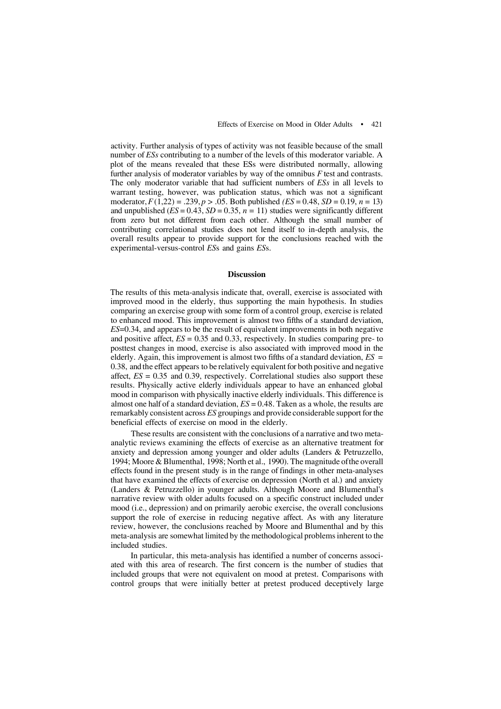activity. Further analysis of types of activity was not feasible because of the small number of *ESs* contributing to a number of the levels of this moderator variable. A plot of the means revealed that these ESs were distributed normally, allowing further analysis of moderator variables by way of the omnibus *F* test and contrasts. The only moderator variable that had sufficient numbers of *ESs* in all levels to warrant testing, however, was publication status, which was not a significant moderator,  $F(1,22) = .239, p > .05$ . Both published  $(ES = 0.48, SD = 0.19, n = 13)$ and unpublished  $(ES = 0.43, SD = 0.35, n = 11)$  studies were significantly different from zero but not different from each other. Although the small number of contributing correlational studies does not lend itself to in-depth analysis, the overall results appear to provide support for the conclusions reached with the experimental-versus-control *ES*s and gains *ES*s.

# **Discussion**

The results of this meta-analysis indicate that, overall, exercise is associated with improved mood in the elderly, thus supporting the main hypothesis. In studies comparing an exercise group with some form of a control group, exercise is related to enhanced mood. This improvement is almost two fifths of a standard deviation, *ES*=0.34, and appears to be the result of equivalent improvements in both negative and positive affect, *ES* = 0.35 and 0.33, respectively. In studies comparing pre- to posttest changes in mood, exercise is also associated with improved mood in the elderly. Again, this improvement is almost two fifths of a standard deviation, *ES =* 0.38, and the effect appears to be relatively equivalent for both positive and negative affect,  $ES = 0.35$  and 0.39, respectively. Correlational studies also support these results. Physically active elderly individuals appear to have an enhanced global mood in comparison with physically inactive elderly individuals. This difference is almost one half of a standard deviation, *ES* = 0.48. Taken as a whole, the results are remarkably consistent across *ES* groupings and provide considerable support for the beneficial effects of exercise on mood in the elderly.

These results are consistent with the conclusions of a narrative and two metaanalytic reviews examining the effects of exercise as an alternative treatment for anxiety and depression among younger and older adults (Landers & Petruzzello, 1994; Moore & Blumenthal, 1998; North et al., 1990). The magnitude of the overall effects found in the present study is in the range of findings in other meta-analyses that have examined the effects of exercise on depression (North et al.) and anxiety (Landers & Petruzzello) in younger adults. Although Moore and Blumenthal's narrative review with older adults focused on a specific construct included under mood (i.e., depression) and on primarily aerobic exercise, the overall conclusions support the role of exercise in reducing negative affect. As with any literature review, however, the conclusions reached by Moore and Blumenthal and by this meta-analysis are somewhat limited by the methodological problems inherent to the included studies.

In particular, this meta-analysis has identified a number of concerns associated with this area of research. The first concern is the number of studies that included groups that were not equivalent on mood at pretest. Comparisons with control groups that were initially better at pretest produced deceptively large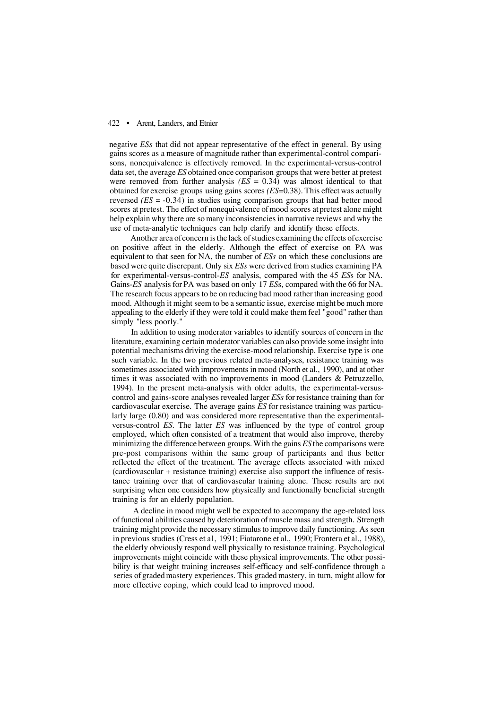negative *ESs* that did not appear representative of the effect in general. By using gains scores as a measure of magnitude rather than experimental-control comparisons, nonequivalence is effectively removed. In the experimental-versus-control data set, the average *ES* obtained once comparison groups that were better at pretest were removed from further analysis  $(ES = 0.34)$  was almost identical to that obtained for exercise groups using gains scores *(ES*=0.38). This effect was actually reversed *(ES* = -0.34) in studies using comparison groups that had better mood scores at pretest. The effect of nonequivalence of mood scores at pretest alone might help explain why there are so many inconsistencies in narrative reviews and why the use of meta-analytic techniques can help clarify and identify these effects.

Another area of concern is the lack of studies examining the effects of exercise on positive affect in the elderly. Although the effect of exercise on PA was equivalent to that seen for NA, the number of *ESs* on which these conclusions are based were quite discrepant. Only six *ESs* were derived from studies examining PA for experimental-versus-control-*ES* analysis, compared with the 45 *ES*s for NA. Gains-*ES* analysis for PA was based on only 17 *ES*s, compared with the 66 for NA. The research focus appears to be on reducing bad mood rather than increasing good mood. Although it might seem to be a semantic issue, exercise might be much more appealing to the elderly if they were told it could make them feel "good" rather than simply "less poorly."

In addition to using moderator variables to identify sources of concern in the literature, examining certain moderator variables can also provide some insight into potential mechanisms driving the exercise-mood relationship. Exercise type is one such variable. In the two previous related meta-analyses, resistance training was sometimes associated with improvements in mood (North et al., 1990), and at other times it was associated with no improvements in mood (Landers & Petruzzello, 1994). In the present meta-analysis with older adults, the experimental-versuscontrol and gains-score analyses revealed larger *ESs* for resistance training than for cardiovascular exercise. The average gains *ES* for resistance training was particularly large (0.80) and was considered more representative than the experimentalversus-control *ES*. The latter *ES* was influenced by the type of control group employed, which often consisted of a treatment that would also improve, thereby minimizing the difference between groups. With the gains *ES* the comparisons were pre-post comparisons within the same group of participants and thus better reflected the effect of the treatment. The average effects associated with mixed (cardiovascular + resistance training) exercise also support the influence of resistance training over that of cardiovascular training alone. These results are not surprising when one considers how physically and functionally beneficial strength training is for an elderly population.

A decline in mood might well be expected to accompany the age-related loss of functional abilities caused by deterioration of muscle mass and strength. Strength training might provide the necessary stimulus to improve daily functioning. As seen in previous studies (Cress et al, 1991; Fiatarone et al., 1990; Frontera et al., 1988), the elderly obviously respond well physically to resistance training. Psychological improvements might coincide with these physical improvements. The other possibility is that weight training increases self-efficacy and self-confidence through a series of graded mastery experiences. This graded mastery, in turn, might allow for more effective coping, which could lead to improved mood.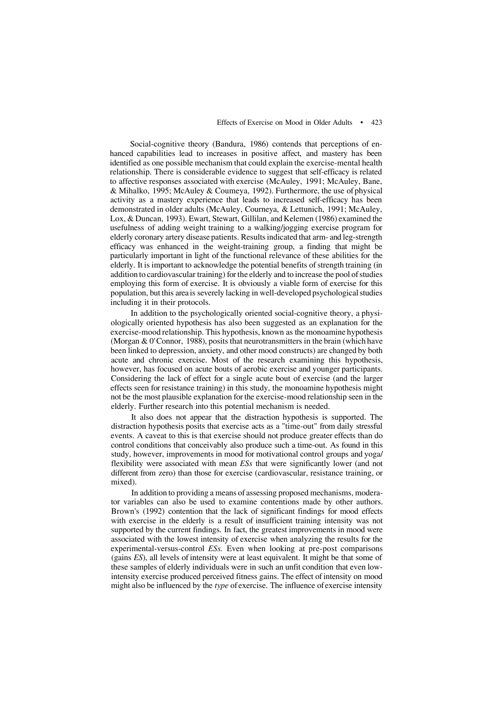Social-cognitive theory (Bandura, 1986) contends that perceptions of enhanced capabilities lead to increases in positive affect, and mastery has been identified as one possible mechanism that could explain the exercise-mental health relationship. There is considerable evidence to suggest that self-efficacy is related to affective responses associated with exercise (McAuley, 1991; McAuley, Bane, & Mihalko, 1995; McAuley & Coumeya, 1992). Furthermore, the use of physical activity as a mastery experience that leads to increased self-efficacy has been demonstrated in older adults (McAuley, Courneya, & Lettunich, 1991; McAuley, Lox, & Duncan, 1993). Ewart, Stewart, Gillilan, and Kelemen (1986) examined the usefulness of adding weight training to a walking/jogging exercise program for elderly coronary artery disease patients. Results indicated that arm- and leg-strength efficacy was enhanced in the weight-training group, a finding that might be particularly important in light of the functional relevance of these abilities for the elderly. It is important to acknowledge the potential benefits of strength training (in addition to cardiovascular training) for the elderly and to increase the pool of studies employing this form of exercise. It is obviously a viable form of exercise for this population, but this area is severely lacking in well-developed psychological studies including it in their protocols.

In addition to the psychologically oriented social-cognitive theory, a physiologically oriented hypothesis has also been suggested as an explanation for the exercise-mood relationship. This hypothesis, known as the monoamine hypothesis (Morgan & 0' Connor, 1988), posits that neurotransmitters in the brain (which have been linked to depression, anxiety, and other mood constructs) are changed by both acute and chronic exercise. Most of the research examining this hypothesis, however, has focused on acute bouts of aerobic exercise and younger participants. Considering the lack of effect for a single acute bout of exercise (and the larger effects seen for resistance training) in this study, the monoamine hypothesis might not be the most plausible explanation for the exercise-mood relationship seen in the elderly. Further research into this potential mechanism is needed.

It also does not appear that the distraction hypothesis is supported. The distraction hypothesis posits that exercise acts as a "time-out" from daily stressful events. A caveat to this is that exercise should not produce greater effects than do control conditions that conceivably also produce such a time-out. As found in this study, however, improvements in mood for motivational control groups and yoga/ flexibility were associated with mean *ESs* that were significantly lower (and not different from zero) than those for exercise (cardiovascular, resistance training, or mixed).

In addition to providing a means of assessing proposed mechanisms, moderator variables can also be used to examine contentions made by other authors. Brown's (1992) contention that the lack of significant findings for mood effects with exercise in the elderly is a result of insufficient training intensity was not supported by the current findings. In fact, the greatest improvements in mood were associated with the lowest intensity of exercise when analyzing the results for the experimental-versus-control *ESs.* Even when looking at pre-post comparisons (gains *ES*), all levels of intensity were at least equivalent. It might be that some of these samples of elderly individuals were in such an unfit condition that even lowintensity exercise produced perceived fitness gains. The effect of intensity on mood might also be influenced by the *type* of exercise. The influence of exercise intensity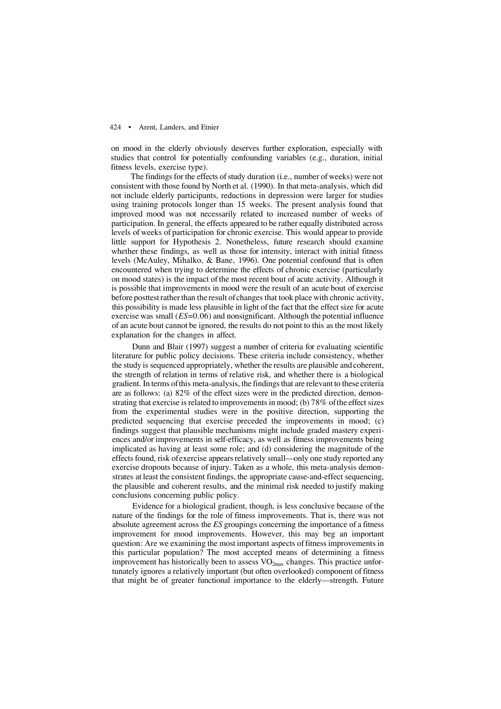on mood in the elderly obviously deserves further exploration, especially with studies that control for potentially confounding variables (e.g., duration, initial fitness levels, exercise type).

The findings for the effects of study duration (i.e., number of weeks) were not consistent with those found by North et al. (1990). In that meta-analysis, which did not include elderly participants, reductions in depression were larger for studies using training protocols longer than 15 weeks. The present analysis found that improved mood was not necessarily related to increased number of weeks of participation. In general, the effects appeared to be rather equally distributed across levels of weeks of participation for chronic exercise. This would appear to provide little support for Hypothesis 2. Nonetheless, future research should examine whether these findings, as well as those for intensity, interact with initial fitness levels (McAuley, Mihalko, & Bane, 1996). One potential confound that is often encountered when trying to determine the effects of chronic exercise (particularly on mood states) is the impact of the most recent bout of acute activity. Although it is possible that improvements in mood were the result of an acute bout of exercise before posttest rather than the result of changes that took place with chronic activity, this possibility is made less plausible in light of the fact that the effect size for acute exercise was small (*ES*=0.06) and nonsignificant. Although the potential influence of an acute bout cannot be ignored, the results do not point to this as the most likely explanation for the changes in affect.

Dunn and Blair (1997) suggest a number of criteria for evaluating scientific literature for public policy decisions. These criteria include consistency, whether the study is sequenced appropriately, whether the results are plausible and coherent, the strength of relation in terms of relative risk, and whether there is a biological gradient. In terms of this meta-analysis, the findings that are relevant to these criteria are as follows: (a) 82% of the effect sizes were in the predicted direction, demonstrating that exercise is related to improvements in mood; (b) 78% of the effect sizes from the experimental studies were in the positive direction, supporting the predicted sequencing that exercise preceded the improvements in mood; (c) findings suggest that plausible mechanisms might include graded mastery experiences and/or improvements in self-efficacy, as well as fitness improvements being implicated as having at least some role; and (d) considering the magnitude of the effects found, risk of exercise appears relatively small—only one study reported any exercise dropouts because of injury. Taken as a whole, this meta-analysis demonstrates at least the consistent findings, the appropriate cause-and-effect sequencing, the plausible and coherent results, and the minimal risk needed to justify making conclusions concerning public policy.

Evidence for a biological gradient, though, is less conclusive because of the nature of the findings for the role of fitness improvements. That is, there was not absolute agreement across the *ES* groupings concerning the importance of a fitness improvement for mood improvements. However, this may beg an important question: Are we examining the most important aspects of fitness improvements in this particular population? The most accepted means of determining a fitness improvement has historically been to assess  $VO_{2max}$  changes. This practice unfortunately ignores a relatively important (but often overlooked) component of fitness that might be of greater functional importance to the elderly—strength. Future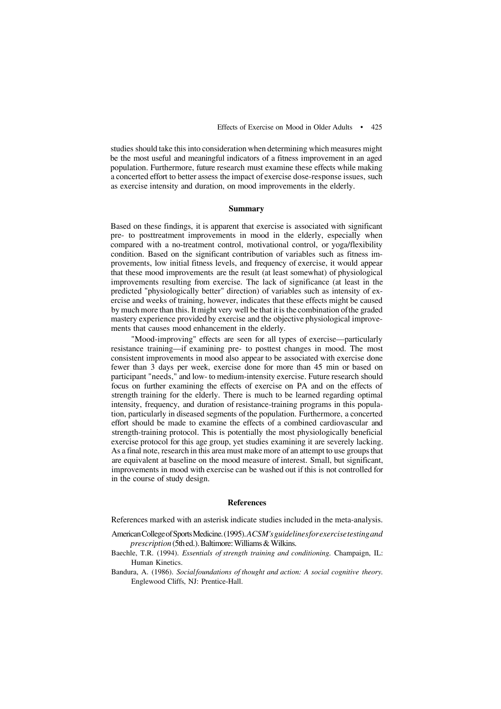studies should take this into consideration when determining which measures might be the most useful and meaningful indicators of a fitness improvement in an aged population. Furthermore, future research must examine these effects while making a concerted effort to better assess the impact of exercise dose-response issues, such as exercise intensity and duration, on mood improvements in the elderly.

### **Summary**

Based on these findings, it is apparent that exercise is associated with significant pre- to posttreatment improvements in mood in the elderly, especially when compared with a no-treatment control, motivational control, or yoga/flexibility condition. Based on the significant contribution of variables such as fitness improvements, low initial fitness levels, and frequency of exercise, it would appear that these mood improvements are the result (at least somewhat) of physiological improvements resulting from exercise. The lack of significance (at least in the predicted "physiologically better" direction) of variables such as intensity of exercise and weeks of training, however, indicates that these effects might be caused by much more than this. It might very well be that it is the combination of the graded mastery experience provided by exercise and the objective physiological improvements that causes mood enhancement in the elderly.

"Mood-improving" effects are seen for all types of exercise—particularly resistance training—if examining pre- to posttest changes in mood. The most consistent improvements in mood also appear to be associated with exercise done fewer than 3 days per week, exercise done for more than 45 min or based on participant "needs," and low- to medium-intensity exercise. Future research should focus on further examining the effects of exercise on PA and on the effects of strength training for the elderly. There is much to be learned regarding optimal intensity, frequency, and duration of resistance-training programs in this population, particularly in diseased segments of the population. Furthermore, a concerted effort should be made to examine the effects of a combined cardiovascular and strength-training protocol. This is potentially the most physiologically beneficial exercise protocol for this age group, yet studies examining it are severely lacking. As a final note, research in this area must make more of an attempt to use groups that are equivalent at baseline on the mood measure of interest. Small, but significant, improvements in mood with exercise can be washed out if this is not controlled for in the course of study design.

#### **References**

References marked with an asterisk indicate studies included in the meta-analysis.

- American College of Sports Medicine. (1995). *ACSM's guidelines for exercise testing and prescription* (5th ed.). Baltimore: Williams & Wilkins.
- Baechle, T.R. (1994). *Essentials of strength training and conditioning.* Champaign, IL: Human Kinetics.
- Bandura, A. (1986). *Social foundations of thought and action: A social cognitive theory.* Englewood Cliffs, NJ: Prentice-Hall.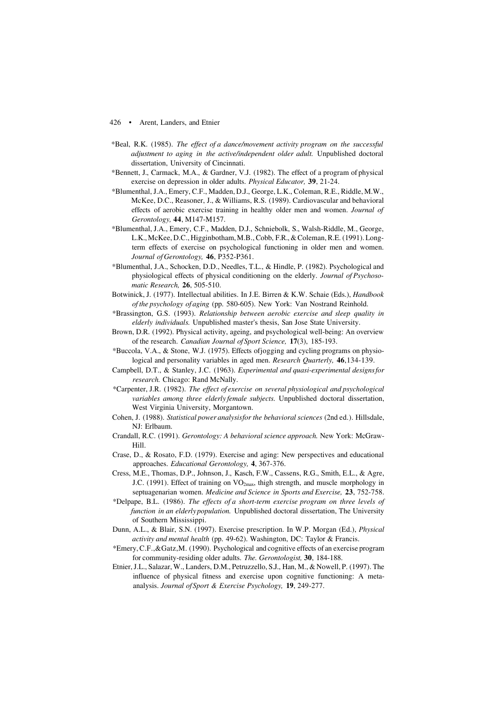- \*Beal, R.K. (1985). *The effect of a dance/movement activity program on the successful adjustment to aging in the active/independent older adult.* Unpublished doctoral dissertation, University of Cincinnati.
- \*Bennett, J., Carmack, M.A., & Gardner, V.J. (1982). The effect of a program of physical exercise on depression in older adults. *Physical Educator,* **39**, 21-24.
- \*Blumenthal, J.A., Emery, C.F., Madden, D.J., George, L.K., Coleman, R.E., Riddle, M.W., McKee, D.C., Reasoner, J., & Williams, R.S. (1989). Cardiovascular and behavioral effects of aerobic exercise training in healthy older men and women. *Journal of Gerontology,* **44**, M147-M157.
- \*Blumenthal, J.A., Emery, C.F., Madden, D.J., Schniebolk, S., Walsh-Riddle, M., George, L.K., McKee, D.C., Higginbotham, M.B., Cobb, F.R., & Coleman, R.E. (1991). Longterm effects of exercise on psychological functioning in older men and women. *Journal of Gerontology,* **46**, P352-P361.
- \*Blumenthal, J.A., Schocken, D.D., Needles, T.L., & Hindle, P. (1982). Psychological and physiological effects of physical conditioning on the elderly. *Journal of Psychosomatic Research,* **26**, 505-510.
- Botwinick, J. (1977). Intellectual abilities. In J.E. Birren & K.W. Schaie (Eds.), *Handbook of the psychology of aging* (pp. 580-605). New York: Van Nostrand Reinhold.
- \*Brassington, G.S. (1993). *Relationship between aerobic exercise and sleep quality in elderly individuals.* Unpublished master's thesis, San Jose State University.
- Brown, D.R. (1992). Physical activity, ageing, and psychological well-being: An overview of the research. *Canadian Journal of Sport Science,* **17**(3), 185-193.
- \*Buccola, V.A., & Stone, W.J. (1975). Effects of jogging and cycling programs on physiological and personality variables in aged men. *Research Quarterly,* **46**,134-139.
- Campbell, D.T., & Stanley, J.C. (1963). *Experimental and quasi-experimental designs for research.* Chicago: Rand McNally.
- \*Carpenter, J.R. (1982). *The effect of exercise on several physiological and psychological variables among three elderly female subjects.* Unpublished doctoral dissertation, West Virginia University, Morgantown.
- Cohen, J. (1988). *Statistical power analysis for the behavioral sciences* (2nd ed.). Hillsdale, NJ: Erlbaum.
- Crandall, R.C. (1991). *Gerontology: A behavioral science approach.* New York: McGraw-Hill.
- Crase, D., & Rosato, F.D. (1979). Exercise and aging: New perspectives and educational approaches. *Educational Gerontology,* **4**, 367-376.
- Cress, M.E., Thomas, D.P., Johnson, J., Kasch, F.W., Cassens, R.G., Smith, E.L., & Agre, J.C. (1991). Effect of training on VO<sub>2max</sub>, thigh strength, and muscle morphology in septuagenarian women. *Medicine and Science in Sports and Exercise,* **23**, 752-758.
- \*Delpape, B.L. (1986). *The effects of a short-term exercise program on three levels of function in an elderly population.* Unpublished doctoral dissertation, The University of Southern Mississippi.
- Dunn, A.L., & Blair, S.N. (1997). Exercise prescription. In W.P. Morgan (Ed.), *Physical activity and mental health* (pp. 49-62). Washington, DC: Taylor & Francis.
- \*Emery, C.F.,&Gatz,M. (1990). Psychological and cognitive effects of an exercise program for community-residing older adults. *The. Gerontologist,* **30**, 184-188.
- Etnier, J.L., Salazar, W., Landers, D.M., Petruzzello, S.J., Han, M., & Nowell, P. (1997). The influence of physical fitness and exercise upon cognitive functioning: A metaanalysis. *Journal of Sport & Exercise Psychology,* **19**, 249-277.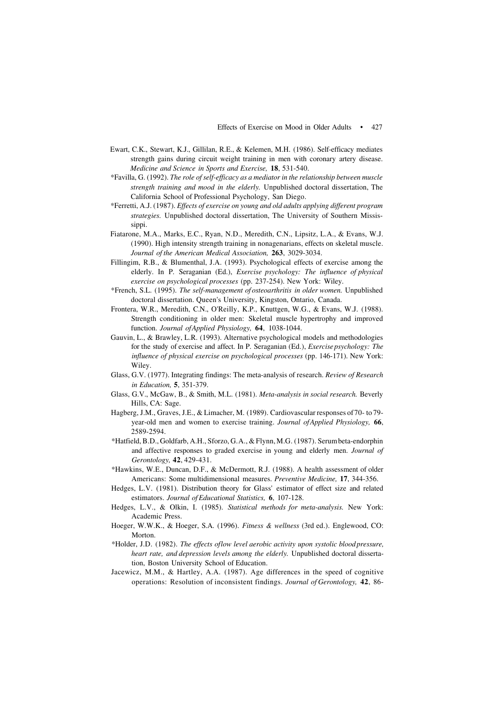- Ewart, C.K., Stewart, K.J., Gillilan, R.E., & Kelemen, M.H. (1986). Self-efficacy mediates strength gains during circuit weight training in men with coronary artery disease. *Medicine and Science in Sports and Exercise,* **18**, 531-540.
- \*Favilla, G. (1992). *The role of self-efficacy as a mediator in the relationship between muscle strength training and mood in the elderly.* Unpublished doctoral dissertation, The California School of Professional Psychology, San Diego.
- \*Ferretti, A.J. (1987). *Effects of exercise on young and old adults applying different program strategies.* Unpublished doctoral dissertation, The University of Southern Mississippi.
- Fiatarone, M.A., Marks, E.C., Ryan, N.D., Meredith, C.N., Lipsitz, L.A., & Evans, W.J. (1990). High intensity strength training in nonagenarians, effects on skeletal muscle. *Journal of the American Medical Association,* **263**, 3029-3034.
- Fillingim, R.B., & Blumenthal, J.A. (1993). Psychological effects of exercise among the elderly. In P. Seraganian (Ed.), *Exercise psychology: The influence of physical exercise on psychological processes* (pp. 237-254). New York: Wiley.
- \*French, S.L. (1995). *The self-management of osteoarthritis in older women.* Unpublished doctoral dissertation. Queen's University, Kingston, Ontario, Canada.
- Frontera, W.R., Meredith, C.N., O'Reilly, K.P., Knuttgen, W.G., & Evans, W.J. (1988). Strength conditioning in older men: Skeletal muscle hypertrophy and improved function. *Journal of Applied Physiology,* **64**, 1038-1044.
- Gauvin, L., & Brawley, L.R. (1993). Alternative psychological models and methodologies for the study of exercise and affect. In P. Seraganian (Ed.), *Exercise psychology: The influence of physical exercise on psychological processes* (pp. 146-171). New York: Wiley.
- Glass, G.V. (1977). Integrating findings: The meta-analysis of research. *Review of Research in Education,* **5**, 351-379.
- Glass, G.V., McGaw, B., & Smith, M.L. (1981). *Meta-analysis in social research.* Beverly Hills, CA: Sage.
- Hagberg, J.M., Graves, J.E., & Limacher, M. (1989). Cardiovascular responses of 70- to 79 year-old men and women to exercise training. *Journal of Applied Physiology,* **66**, 2589-2594.
- \*Hatfield, B.D., Goldfarb, A.H., Sforzo, G. A., & Flynn, M.G. (1987). Serum beta-endorphin and affective responses to graded exercise in young and elderly men. *Journal of Gerontology,* **42**, 429-431.
- \*Hawkins, W.E., Duncan, D.F., & McDermott, R.J. (1988). A health assessment of older Americans: Some multidimensional measures. *Preventive Medicine,* **17**, 344-356.
- Hedges, L.V. (1981). Distribution theory for Glass' estimator of effect size and related estimators. *Journal of Educational Statistics,* **6**, 107-128.
- Hedges, L.V., & Olkin, I. (1985). *Statistical methods for meta-analysis.* New York: Academic Press.
- Hoeger, W.W.K., & Hoeger, S.A. (1996). *Fitness & wellness* (3rd ed.). Englewood, CO: Morton.
- \*Holder, J.D. (1982). *The effects of low level aerobic activity upon systolic blood pressure, heart rate, and depression levels among the elderly.* Unpublished doctoral dissertation, Boston University School of Education.
- Jacewicz, M.M., & Hartley, A.A. (1987). Age differences in the speed of cognitive operations: Resolution of inconsistent findings. *Journal of Gerontology,* **42**, 86-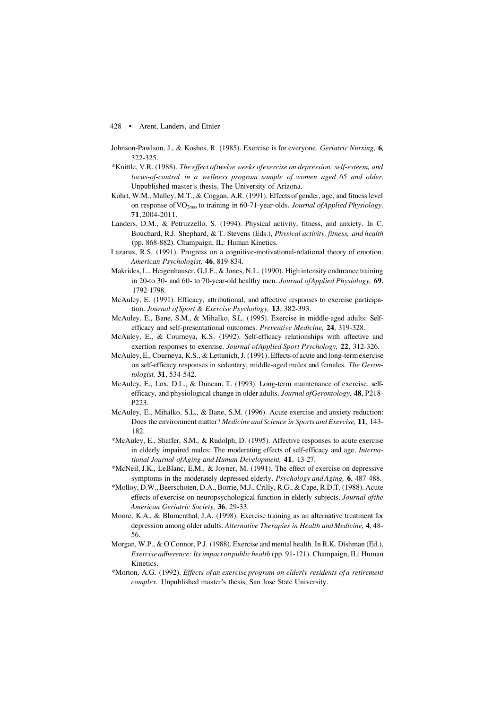- Johnson-Pawlson, J., & Koshes, R. (1985). Exercise is for everyone. *Geriatric Nursing,* **6***,* 322-325.
- \*Knittle, V.R. (1988). *The effect of twelve weeks of exercise on depression, self-esteem, and locus-of-control in a wellness program sample of women aged 65 and older.* Unpublished master's thesis, The University of Arizona.
- Kohrt, W.M., Malley, M.T., & Coggan, A.R. (1991). Effects of gender, age, and fitness level on response of VO2max to training in 60-71-year-olds. *Journal of Applied Physiology,* **71**, 2004-2011.
- Landers, D.M., & Petruzzello, S. (1994). Physical activity, fitness, and anxiety. In C. Bouchard, R.J. Shephard, & T. Stevens (Eds.), *Physical activity, fitness, and health* (pp. 868-882). Champaign, IL: Human Kinetics.
- Lazarus, R.S. (1991). Progress on a cognitive-motivational-relational theory of emotion. *American Psychologist,* **46**, 819-834.
- Makrides, L., Heigenhauser, G.J.F., & Jones, N.L. (1990). High intensity endurance training in 20-to 30- and 60- to 70-year-old healthy men. *Journal of Applied Physiology,* **69**, 1792-1798.
- McAuley, E. (1991). Efficacy, attributional, and affective responses to exercise participation. *Journal of Sport & Exercise Psychology,* **13**, 382-393.
- McAuley, E., Bane, S.M., & Mihalko, S.L. (1995). Exercise in middle-aged adults: Selfefficacy and self-presentational outcomes. *Preventive Medicine,* **24**, 319-328.
- McAuley, E., & Courneya, K.S. (1992). Self-efficacy relationships with affective and exertion responses to exercise. *Journal of Applied Sport Psychology,* **22**, 312-326.
- McAuley, E., Courneya, K.S., & Lettunich, J. (1991). Effects of acute and long-term exercise on self-efficacy responses in sedentary, middle-aged males and females. *The Gerontologist,* **31**, 534-542.
- McAuley, E., Lox, D.L., & Duncan, T. (1993). Long-term maintenance of exercise, selfefficacy, and physiological change in older adults. *Journal of Gerontology,* **48**, P218- P223.
- McAuley, E., Mihalko, S.L., & Bane, S.M. (1996). Acute exercise and anxiety reduction: Does the environment matter? *Medicine and Science in Sports and Exercise,* **11**, 143- 182.
- \*McAuley, E., Shaffer, S.M., & Rudolph, D. (1995). Affective responses to acute exercise in elderly impaired males: The moderating effects of self-efficacy and age. *International Journal of Aging and Human Development,* **41**, 13-27.
- \*McNeil, J.K., LeBlanc, E.M., & Joyner, M. (1991). The effect of exercise on depressive symptoms in the moderately depressed elderly. *Psychology and Aging,* **6**, 487-488.
- \*Molloy, D.W., Beerschoten, D.A., Borrie, M.J., Crilly, R.G., & Cape, R.D.T. (1988). Acute effects of exercise on neuropsychological function in elderly subjects. *Journal of the American Geriatric Society,* **36**, 29-33.
- Moore, K.A., & Blumenthal, J.A. (1998). Exercise training as an alternative treatment for depression among older adults. *Alternative Therapies in Health and Medicine,* **4**, 48- 56.
- Morgan, W.P., & O'Connor, P.J. (1988). Exercise and mental health. In R.K. Dishman (Ed.), *Exercise adherence: Its impact on public health* (pp. 91-121). Champaign, IL: Human Kinetics.
- \*Morton, A.G. (1992). *Effects of an exercise program on elderly residents of a retirement complex.* Unpublished master's thesis, San Jose State University.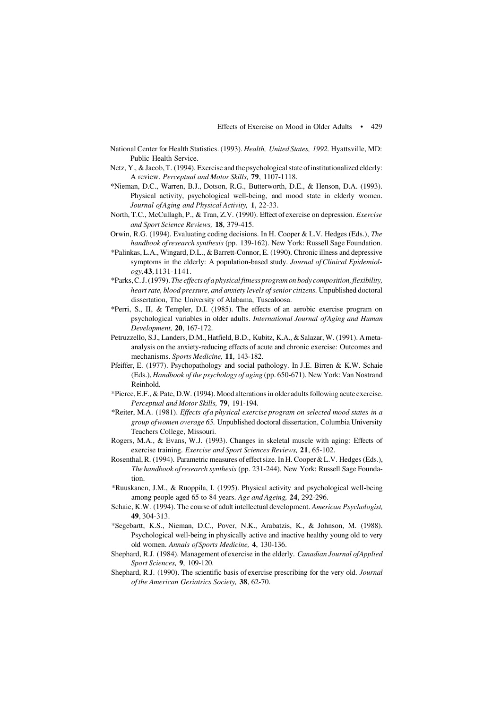- National Center for Health Statistics. (1993). *Health, United States, 1992.* Hyattsville, MD: Public Health Service.
- Netz, Y., & Jacob, T. (1994). Exercise and the psychological state of institutionalized elderly: A review. *Perceptual and Motor Skills,* **79**, 1107-1118.
- \*Nieman, D.C., Warren, B.J., Dotson, R.G., Butterworth, D.E., & Henson, D.A. (1993). Physical activity, psychological well-being, and mood state in elderly women. *Journal of Aging and Physical Activity,* **1**, 22-33.
- North, T.C., McCullagh, P., & Tran, Z.V. (1990). Effect of exercise on depression. *Exercise and Sport Science Reviews,* **18**, 379-415.
- Orwin, R.G. (1994). Evaluating coding decisions. In H. Cooper & L.V. Hedges (Eds.), *The handbook of research synthesis* (pp. 139-162). New York: Russell Sage Foundation.
- \*Palinkas, L.A., Wingard, D.L., & Barrett-Connor, E. (1990). Chronic illness and depressive symptoms in the elderly: A population-based study. *Journal of Clinical Epidemiology,* **43***,* 1131-1141.
- \*Parks, C. J. (1979). *The effects of a physical fitness program on body composition, flexibility, heart rate, blood pressure, and anxiety levels of senior citizens.* Unpublished doctoral dissertation, The University of Alabama, Tuscaloosa.
- \*Perri, S., II, & Templer, D.I. (1985). The effects of an aerobic exercise program on psychological variables in older adults. *International Journal of Aging and Human Development,* **20**, 167-172.
- Petruzzello, S.J., Landers, D.M., Hatfield, B.D., Kubitz, K.A., & Salazar, W. (1991). A metaanalysis on the anxiety-reducing effects of acute and chronic exercise: Outcomes and mechanisms. *Sports Medicine,* **11**, 143-182.
- Pfeiffer, E. (1977). Psychopathology and social pathology. In J.E. Birren & K.W. Schaie (Eds.), *Handbook of the psychology of aging* (pp. 650-671). New York: Van Nostrand Reinhold.
- \*Pierce, E.F., & Pate, D.W. (1994). Mood alterations in older adults following acute exercise. *Perceptual and Motor Skills,* **79**, 191-194.
- \*Reiter, M.A. (1981). *Effects of a physical exercise program on selected mood states in a group of women overage 65.* Unpublished doctoral dissertation, Columbia University Teachers College, Missouri.
- Rogers, M.A., & Evans, W.J. (1993). Changes in skeletal muscle with aging: Effects of exercise training. *Exercise and Sport Sciences Reviews,* **21**, 65-102.
- Rosenthal, R. (1994). Parametric measures of effect size. In H. Cooper & L.V. Hedges (Eds.), *The handbook of research synthesis* (pp. 231-244). New York: Russell Sage Foundation.
- \*Ruuskanen, J.M., & Ruoppila, I. (1995). Physical activity and psychological well-being among people aged 65 to 84 years. *Age and Ageing,* **24**, 292-296.
- Schaie, K.W. (1994). The course of adult intellectual development. *American Psychologist,* **49**, 304-313.
- \*Segebartt, K.S., Nieman, D.C., Pover, N.K., Arabatzis, K., & Johnson, M. (1988). Psychological well-being in physically active and inactive healthy young old to very old women. *Annals of Sports Medicine,* **4**, 130-136.
- Shephard, R.J. (1984). Management of exercise in the elderly. *Canadian Journal of Applied Sport Sciences,* **9**, 109-120.
- Shephard, R.J. (1990). The scientific basis of exercise prescribing for the very old. *Journal of the American Geriatrics Society,* **38**, 62-70.